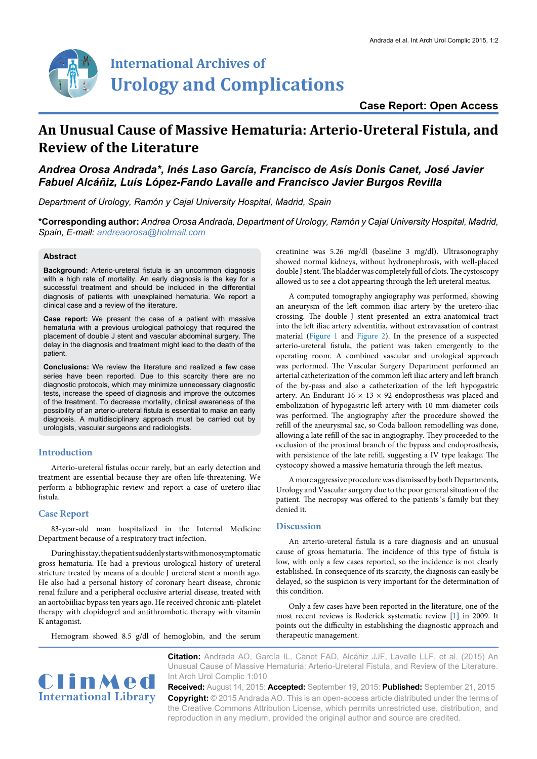

## **Case Report: Open Access**

# **An Unusual Cause of Massive Hematuria: Arterio-Ureteral Fistula, and Review of the Literature**

# *Andrea Orosa Andrada\*, Inés Laso García, Francisco de Asís Donis Canet, José Javier Fabuel Alcáñiz, Luís López-Fando Lavalle and Francisco Javier Burgos Revilla*

*Department of Urology, Ramón y Cajal University Hospital, Madrid, Spain*

**\*Corresponding author:** *Andrea Orosa Andrada, Department of Urology, Ramón y Cajal University Hospital, Madrid, Spain, E-mail: andreaorosa@hotmail.com*

#### **Abstract**

**Background:** Arterio-ureteral fistula is an uncommon diagnosis with a high rate of mortality. An early diagnosis is the key for a successful treatment and should be included in the differential diagnosis of patients with unexplained hematuria. We report a clinical case and a review of the literature.

**Case report:** We present the case of a patient with massive hematuria with a previous urological pathology that required the placement of double J stent and vascular abdominal surgery. The delay in the diagnosis and treatment might lead to the death of the patient.

**Conclusions:** We review the literature and realized a few case series have been reported. Due to this scarcity there are no diagnostic protocols, which may minimize unnecessary diagnostic tests, increase the speed of diagnosis and improve the outcomes of the treatment. To decrease mortality, clinical awareness of the possibility of an arterio-ureteral fistula is essential to make an early diagnosis. A multidisciplinary approach must be carried out by urologists, vascular surgeons and radiologists.

#### **Introduction**

Arterio-ureteral fistulas occur rarely, but an early detection and treatment are essential because they are often life-threatening. We perform a bibliographic review and report a case of uretero-iliac fistula.

#### **Case Report**

83-year-old man hospitalized in the Internal Medicine Department because of a respiratory tract infection.

During his stay, the patient suddenly starts with monosymptomatic gross hematuria. He had a previous urological history of ureteral stricture treated by means of a double J ureteral stent a month ago. He also had a personal history of coronary heart disease, chronic renal failure and a peripheral occlusive arterial disease, treated with an aortobiiliac bypass ten years ago. He received chronic anti-platelet therapy with clopidogrel and antithrombotic therapy with vitamin K antagonist.

Hemogram showed 8.5 g/dl of hemoglobin, and the serum

creatinine was 5.26 mg/dl (baseline 3 mg/dl). Ultrasonography showed normal kidneys, without hydronephrosis, with well-placed double J stent. The bladder was completely full of clots. The cystoscopy allowed us to see a clot appearing through the left ureteral meatus.

A computed tomography angiography was performed, showing an aneurysm of the left common iliac artery by the uretero-iliac crossing. The double J stent presented an extra-anatomical tract into the left iliac artery adventitia, without extravasation of contrast material ([Figure 1](#page-1-0) and [Figure 2](#page-1-1)). In the presence of a suspected arterio-ureteral fistula, the patient was taken emergently to the operating room. A combined vascular and urological approach was performed. The Vascular Surgery Department performed an arterial catheterization of the common left iliac artery and left branch of the by-pass and also a catheterization of the left hypogastric artery. An Endurant  $16 \times 13 \times 92$  endoprosthesis was placed and embolization of hypogastric left artery with 10 mm-diameter coils was performed. The angiography after the procedure showed the refill of the aneurysmal sac, so Coda balloon remodelling was done, allowing a late refill of the sac in angiography. They proceeded to the occlusion of the proximal branch of the bypass and endoprosthesis, with persistence of the late refill, suggesting a IV type leakage. The cystocopy showed a massive hematuria through the left meatus.

A more aggressive procedure was dismissed by both Departments, Urology and Vascular surgery due to the poor general situation of the patient. The necropsy was offered to the patients´s family but they denied it.

#### **Discussion**

An arterio-ureteral fistula is a rare diagnosis and an unusual cause of gross hematuria. The incidence of this type of fistula is low, with only a few cases reported, so the incidence is not clearly established. In consequence of its scarcity, the diagnosis can easily be delayed, so the suspicion is very important for the determination of this condition.

Only a few cases have been reported in the literature, one of the most recent reviews is Roderick systematic review [[1](#page-2-0)] in 2009. It points out the difficulty in establishing the diagnostic approach and therapeutic management.



**Citation:** Andrada AO, García IL, Canet FAD, Alcáñiz JJF, Lavalle LLF, et al. (2015) An Unusual Cause of Massive Hematuria: Arterio-Ureteral Fistula, and Review of the Literature. Int Arch Urol Complic 1:010

**Received:** August 14, 2015: **Accepted:** September 19, 2015: **Published:** September 21, 2015 **Copyright:** © 2015 Andrada AO. This is an open-access article distributed under the terms of the Creative Commons Attribution License, which permits unrestricted use, distribution, and reproduction in any medium, provided the original author and source are credited.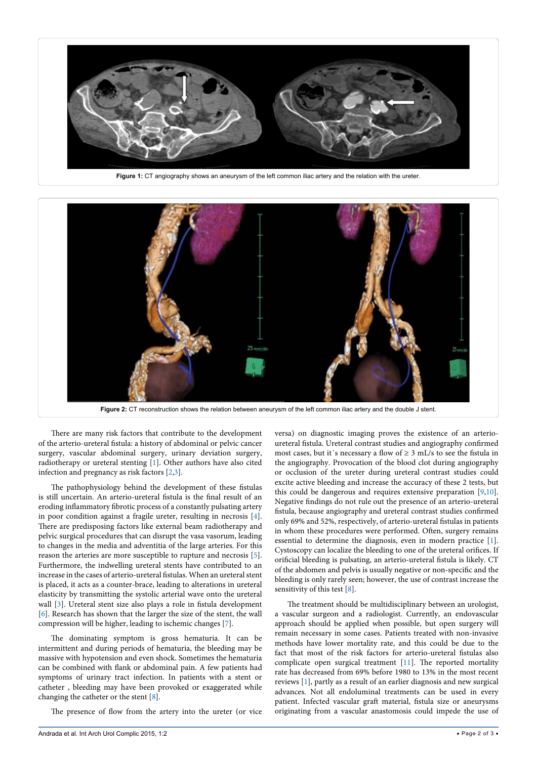<span id="page-1-0"></span>

<span id="page-1-1"></span>

There are many risk factors that contribute to the development of the arterio-ureteral fistula: a history of abdominal or pelvic cancer surgery, vascular abdominal surgery, urinary deviation surgery, radiotherapy or ureteral stenting [\[1](#page-2-0)]. Other authors have also cited infection and pregnancy as risk factors [[2](#page-2-1)[,3](#page-2-2)].

The pathophysiology behind the development of these fistulas is still uncertain. An arterio-ureteral fistula is the final result of an eroding inflammatory fibrotic process of a constantly pulsating artery in poor condition against a fragile ureter, resulting in necrosis [\[4](#page-2-3)]. There are predisposing factors like external beam radiotherapy and pelvic surgical procedures that can disrupt the vasa vasorum, leading to changes in the media and adventitia of the large arteries. For this reason the arteries are more susceptible to rupture and necrosis [\[5](#page-2-4)]. Furthermore, the indwelling ureteral stents have contributed to an increase in the cases of arterio-ureteral fistulas. When an ureteral stent is placed, it acts as a counter-brace, leading to alterations in ureteral elasticity by transmitting the systolic arterial wave onto the ureteral wall [\[3\]](#page-2-2). Ureteral stent size also plays a role in fistula development [[6\]](#page-2-5). Research has shown that the larger the size of the stent, the wall compression will be higher, leading to ischemic changes [\[7\]](#page-2-6).

The dominating symptom is gross hematuria. It can be intermittent and during periods of hematuria, the bleeding may be massive with hypotension and even shock. Sometimes the hematuria can be combined with flank or abdominal pain. A few patients had symptoms of urinary tract infection. In patients with a stent or catheter , bleeding may have been provoked or exaggerated while changing the catheter or the stent [\[8\]](#page-2-7).

The presence of flow from the artery into the ureter (or vice

versa) on diagnostic imaging proves the existence of an arterioureteral fistula. Ureteral contrast studies and angiography confirmed most cases, but it's necessary a flow of  $\geq 3$  mL/s to see the fistula in the angiography. Provocation of the blood clot during angiography or occlusion of the ureter during ureteral contrast studies could excite active bleeding and increase the accuracy of these 2 tests, but this could be dangerous and requires extensive preparation [[9,](#page-2-8)[10\]](#page-2-9). Negative findings do not rule out the presence of an arterio-ureteral fistula, because angiography and ureteral contrast studies confirmed only 69% and 52%, respectively, of arterio-ureteral fistulas in patients in whom these procedures were performed. Often, surgery remains essential to determine the diagnosis, even in modern practice [\[1\]](#page-2-0). Cystoscopy can localize the bleeding to one of the ureteral orifices. If orificial bleeding is pulsating, an arterio-ureteral fistula is likely. CT of the abdomen and pelvis is usually negative or non-specific and the bleeding is only rarely seen; however, the use of contrast increase the sensitivity of this test [[8\]](#page-2-7).

The treatment should be multidisciplinary between an urologist, a vascular surgeon and a radiologist. Currently, an endovascular approach should be applied when possible, but open surgery will remain necessary in some cases. Patients treated with non-invasive methods have lower mortality rate, and this could be due to the fact that most of the risk factors for arterio-ureteral fistulas also complicate open surgical treatment [\[11\]](#page-2-10). The reported mortality rate has decreased from 69% before 1980 to 13% in the most recent reviews [\[1](#page-2-0)], partly as a result of an earlier diagnosis and new surgical advances. Not all endoluminal treatments can be used in every patient. Infected vascular graft material, fistula size or aneurysms originating from a vascular anastomosis could impede the use of